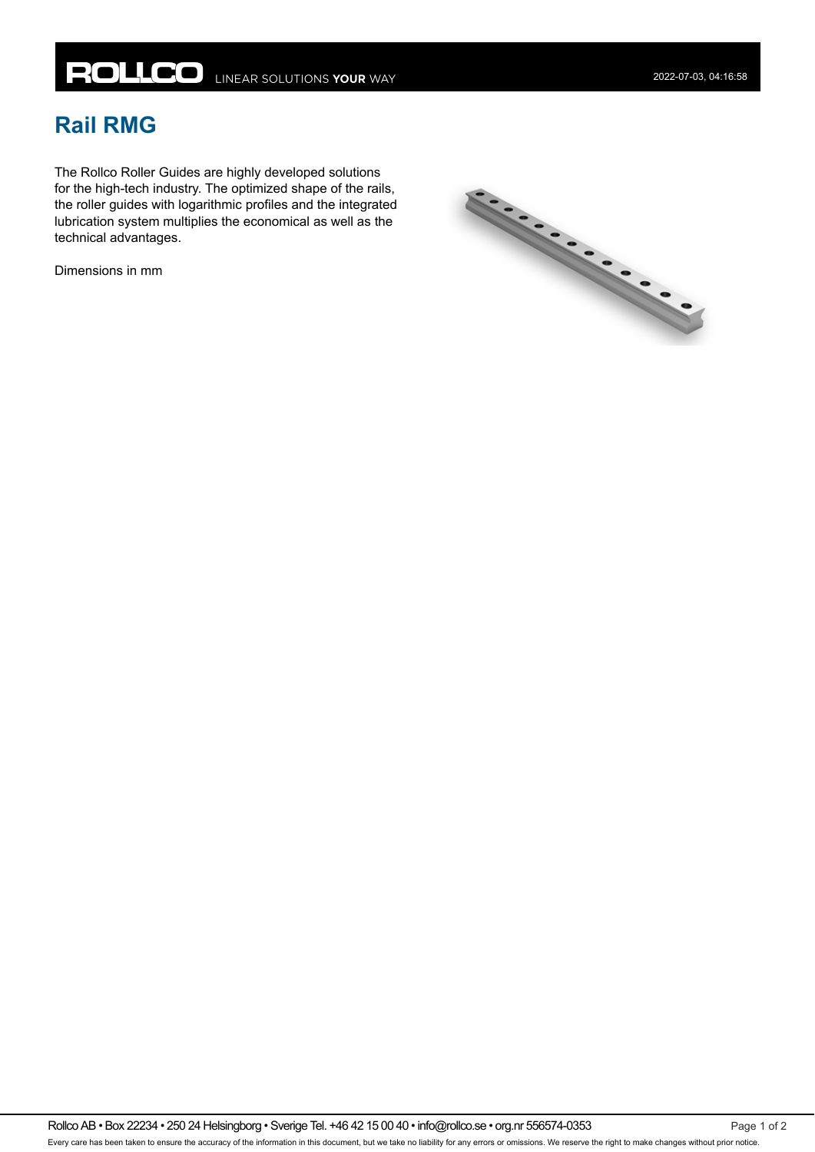## **Rail RMG**

The Rollco Roller Guides are highly developed solutions for the high-tech industry. The optimized shape of the rails, the roller guides with logarithmic profiles and the integrated lubrication system multiplies the economical as well as the technical advantages.

Dimensions in mm



Rollco AB • Box 22234 • 250 24 Helsingborg • Sverige Tel. +46 42 15 00 40 • info@rollco.se • org.nr 556574-0353 Page 1 of 2 Every care has been taken to ensure the accuracy of the information in this document, but we take no liability for any errors or omissions. We reserve the right to make changes without prior notice.